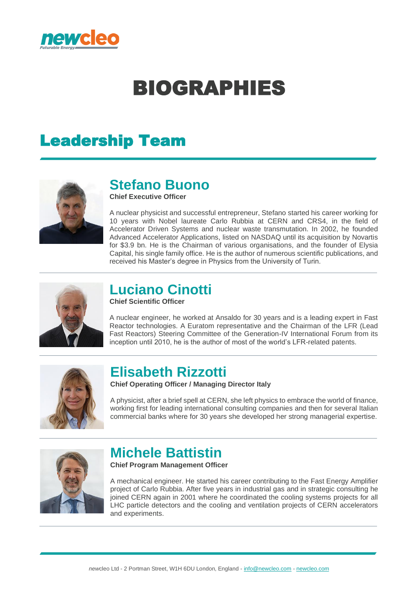

# BIOGRAPHIES

# Leadership Team



#### **Stefano Buono**

**Chief Executive Officer**

A nuclear physicist and successful entrepreneur, Stefano started his career working for 10 years with Nobel laureate Carlo Rubbia at CERN and CRS4, in the field of Accelerator Driven Systems and nuclear waste transmutation. In 2002, he founded Advanced Accelerator Applications, listed on NASDAQ until its acquisition by Novartis for \$3.9 bn. He is the Chairman of various organisations, and the founder of Elysia Capital, his single family office. He is the author of numerous scientific publications, and received his Master's degree in Physics from the University of Turin.



#### **Luciano Cinotti**

**Chief Scientific Officer**

A nuclear engineer, he worked at Ansaldo for 30 years and is a leading expert in Fast Reactor technologies. A Euratom representative and the Chairman of the LFR (Lead Fast Reactors) Steering Committee of the Generation-IV International Forum from its inception until 2010, he is the author of most of the world's LFR-related patents.



#### **Elisabeth Rizzotti**

**Chief Operating Officer / Managing Director Italy**

A physicist, after a brief spell at CERN, she left physics to embrace the world of finance, working first for leading international consulting companies and then for several Italian commercial banks where for 30 years she developed her strong managerial expertise.



## **Michele Battistin**

**Chief Program Management Officer**

A mechanical engineer. He started his career contributing to the Fast Energy Amplifier project of Carlo Rubbia. After five years in industrial gas and in strategic consulting he joined CERN again in 2001 where he coordinated the cooling systems projects for all LHC particle detectors and the cooling and ventilation projects of CERN accelerators and experiments.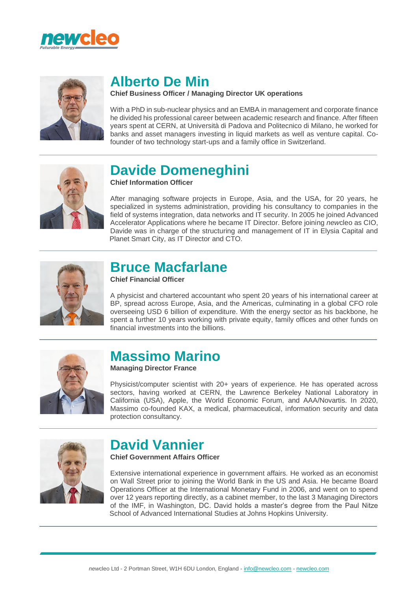



# **Alberto De Min**

#### **Chief Business Officer / Managing Director UK operations**

With a PhD in sub-nuclear physics and an EMBA in management and corporate finance he divided his professional career between academic research and finance. After fifteen years spent at CERN, at Università di Padova and Politecnico di Milano, he worked for banks and asset managers investing in liquid markets as well as venture capital. Cofounder of two technology start-ups and a family office in Switzerland.



#### **Davide Domeneghini**

**Chief Information Officer**

After managing software projects in Europe, Asia, and the USA, for 20 years, he specialized in systems administration, providing his consultancy to companies in the field of systems integration, data networks and IT security. In 2005 he joined Advanced Accelerator Applications where he became IT Director. Before joining *new*cleo as CIO, Davide was in charge of the structuring and management of IT in Elysia Capital and Planet Smart City, as IT Director and CTO.



#### **Bruce Macfarlane**

**Chief Financial Officer**

A physicist and chartered accountant who spent 20 years of his international career at BP, spread across Europe, Asia, and the Americas, culminating in a global CFO role overseeing USD 6 billion of expenditure. With the energy sector as his backbone, he spent a further 10 years working with private equity, family offices and other funds on financial investments into the billions.



## **Massimo Marino**

**Managing Director France**

Physicist/computer scientist with 20+ years of experience. He has operated across sectors, having worked at CERN, the Lawrence Berkeley National Laboratory in California (USA), Apple, the World Economic Forum, and AAA/Novartis. In 2020, Massimo co-founded KAX, a medical, pharmaceutical, information security and data protection consultancy.



### **David Vannier**

**Chief Government Affairs Officer**

Extensive international experience in government affairs. He worked as an economist on Wall Street prior to joining the World Bank in the US and Asia. He became Board Operations Officer at the International Monetary Fund in 2006, and went on to spend over 12 years reporting directly, as a cabinet member, to the last 3 Managing Directors of the IMF, in Washington, DC. David holds a master's degree from the Paul Nitze School of Advanced International Studies at Johns Hopkins University.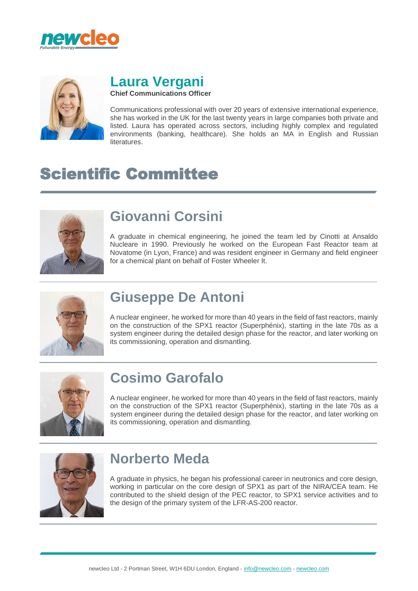



# **Laura Vergani**

**Chief Communications Officer**

Communications professional with over 20 years of extensive international experience, she has worked in the UK for the last twenty years in large companies both private and listed. Laura has operated across sectors, including highly complex and regulated environments (banking, healthcare). She holds an MA in English and Russian literatures.

# Scientific Committee



# **Giovanni Corsini**

A graduate in chemical engineering, he joined the team led by Cinotti at Ansaldo Nucleare in 1990. Previously he worked on the European Fast Reactor team at Novatome (in Lyon, France) and was resident engineer in Germany and field engineer for a chemical plant on behalf of Foster Wheeler It.



# **Giuseppe De Antoni**

A nuclear engineer, he worked for more than 40 years in the field of fast reactors, mainly on the construction of the SPX1 reactor (Superphénix), starting in the late 70s as a system engineer during the detailed design phase for the reactor, and later working on its commissioning, operation and dismantling.



# **Cosimo Garofalo**

A nuclear engineer, he worked for more than 40 years in the field of fast reactors, mainly on the construction of the SPX1 reactor (Superphénix), starting in the late 70s as a system engineer during the detailed design phase for the reactor, and later working on its commissioning, operation and dismantling.



### **Norberto Meda**

A graduate in physics, he began his professional career in neutronics and core design, working in particular on the core design of SPX1 as part of the NIRA/CEA team. He contributed to the shield design of the PEC reactor, to SPX1 service activities and to the design of the primary system of the LFR-AS-200 reactor.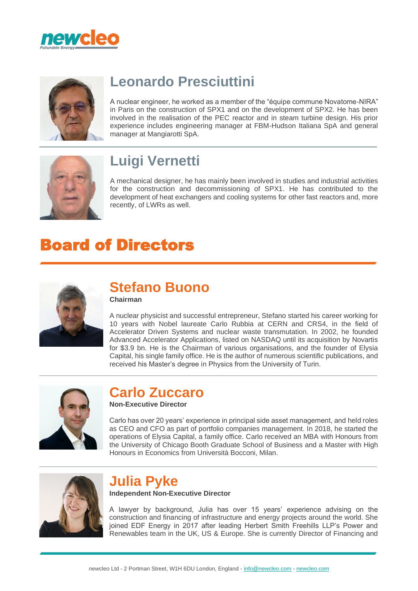



# **Leonardo Presciuttini**

A nuclear engineer, he worked as a member of the "équipe commune Novatome-NIRA" in Paris on the construction of SPX1 and on the development of SPX2. He has been involved in the realisation of the PEC reactor and in steam turbine design. His prior experience includes engineering manager at FBM-Hudson Italiana SpA and general manager at Mangiarotti SpA.



# **Luigi Vernetti**

A mechanical designer, he has mainly been involved in studies and industrial activities for the construction and decommissioning of SPX1. He has contributed to the development of heat exchangers and cooling systems for other fast reactors and, more recently, of LWRs as well.

# Board of Directors



#### **Stefano Buono Chairman**

A nuclear physicist and successful entrepreneur, Stefano started his career working for 10 years with Nobel laureate Carlo Rubbia at CERN and CRS4, in the field of Accelerator Driven Systems and nuclear waste transmutation. In 2002, he founded Advanced Accelerator Applications, listed on NASDAQ until its acquisition by Novartis for \$3.9 bn. He is the Chairman of various organisations, and the founder of Elysia Capital, his single family office. He is the author of numerous scientific publications, and received his Master's degree in Physics from the University of Turin.



# **Carlo Zuccaro**

**Non-Executive Director**

Carlo has over 20 years' experience in principal side asset management, and held roles as CEO and CFO as part of portfolio companies management. In 2018, he started the operations of Elysia Capital, a family office. Carlo received an MBA with Honours from the University of Chicago Booth Graduate School of Business and a Master with High Honours in Economics from Università Bocconi, Milan.



#### **Julia Pyke Independent Non-Executive Director**

A lawyer by background, Julia has over 15 years' experience advising on the construction and financing of infrastructure and energy projects around the world. She joined EDF Energy in 2017 after leading Herbert Smith Freehills LLP's Power and Renewables team in the UK, US & Europe. She is currently Director of Financing and